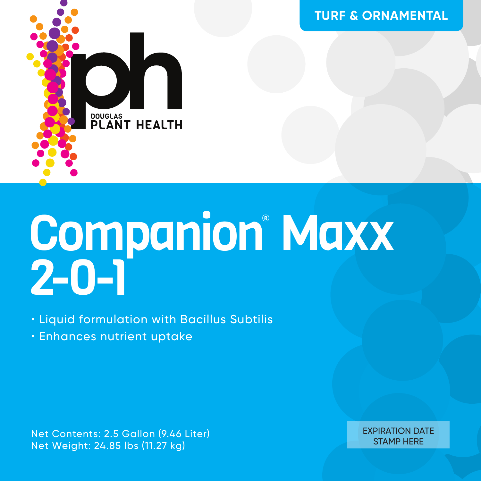

# Companion<sup>®</sup> Maxx 2-0-1

• Liquid formulation with Bacillus Subtilis

• Enhances nutrient uptake

Net Contents: 2.5 Gallon (9.46 Liter) Net Weight: 24.85 lbs (11.27 kg)

EXPIRATION DATE STAMP HERE

**TURF & ORNAMENTAL**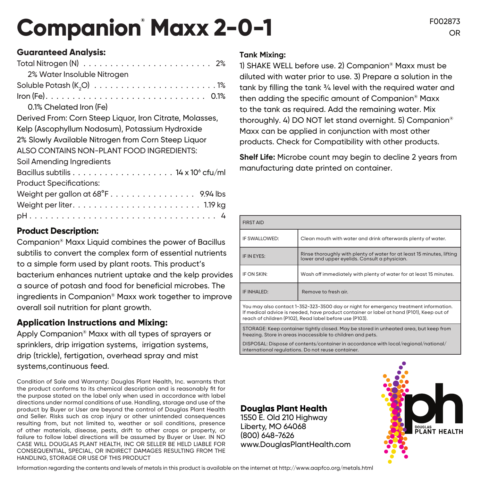## Companion<sup>®</sup> Maxx 2-0-1

### **Guaranteed Analysis:**

#### **Product Description:**

Companion® Maxx Liquid combines the power of Bacillus subtilis to convert the complex form of essential nutrients to a simple form used by plant roots. This product's bacterium enhances nutrient uptake and the kelp provides a source of potash and food for beneficial microbes. The ingredients in Companion® Maxx work together to improve overall soil nutrition for plant growth.

#### **Application Instructions and Mixing:**

Apply Companion® Maxx with all types of sprayers or sprinklers, drip irrigation systems, irrigation systems, drip (trickle), fertigation, overhead spray and mist systems,continuous feed.

Condition of Sale and Warranty: Douglas Plant Health, Inc. warrants that the product conforms to its chemical description and is reasonably fit for the purpose stated on the label only when used in accordance with label directions under normal conditions of use. Handling, storage and use of the product by Buyer or User are beyond the control of Douglas Plant Health and Seller. Risks such as crop injury or other unintended consequences resulting from, but not limited to, weather or soil conditions, presence of other materials, disease, pests, drift to other crops or property, or failure to follow label directions will be assumed by Buyer or User. IN NO CASE WILL DOUGLAS PLANT HEALTH, INC OR SELLER BE HELD LIABLE FOR CONSEQUENTIAL, SPECIAL, OR INDIRECT DAMAGES RESULTING FROM THE HANDLING, STORAGE OR USE OF THIS PRODUCT

#### **Tank Mixing:**

1) SHAKE WELL before use. 2) Companion® Maxx must be diluted with water prior to use. 3) Prepare a solution in the tank by filling the tank ¾ level with the required water and then adding the specific amount of Companion® Maxx to the tank as required. Add the remaining water. Mix thoroughly. 4) DO NOT let stand overnight. 5) Companion® Maxx can be applied in conjunction with most other products. Check for Compatibility with other products.

**Shelf Life:** Microbe count may begin to decline 2 years from manufacturing date printed on container.

| <b>FIRST AID</b>                                                                      |                                                                                                                         |  |
|---------------------------------------------------------------------------------------|-------------------------------------------------------------------------------------------------------------------------|--|
| IF SWALLOWED:                                                                         | Clean mouth with water and drink afterwards plenty of water.                                                            |  |
| IF IN EYES:                                                                           | Rinse thoroughly with plenty of water for at least 15 minutes, lifting<br>lower and upper evelids. Consult a physician. |  |
| IF ON SKIN:                                                                           | Wash off immediately with plenty of water for at least 15 minutes.                                                      |  |
| IF INHALED:                                                                           | Remove to fresh air.                                                                                                    |  |
| You may also contact 1-352-323-3500 day or night for emergency treatment information. |                                                                                                                         |  |

You may also contact 1-352-323-3500 day or night for emergency treatment information. If medical advice is needed, have product container or label at hand (P101), Keep out of reach of children (P102), Read label before use (P103).

STORAGE: Keep container tightly closed. May be stored in unheated area, but keep from freezing. Store in areas inaccessible to children and pets.

DISPOSAL: Dispose of contents/container in accordance with local/regional/national/ international regulations. Do not reuse container.

#### **Douglas Plant Health**

1550 E. Old 210 Highway Liberty, MO 64068 (800) 648-7626 www.DouglasPlantHealth.com



Information regarding the contents and levels of metals in this product is available on the internet at http://www.aapfco.org/metals.html